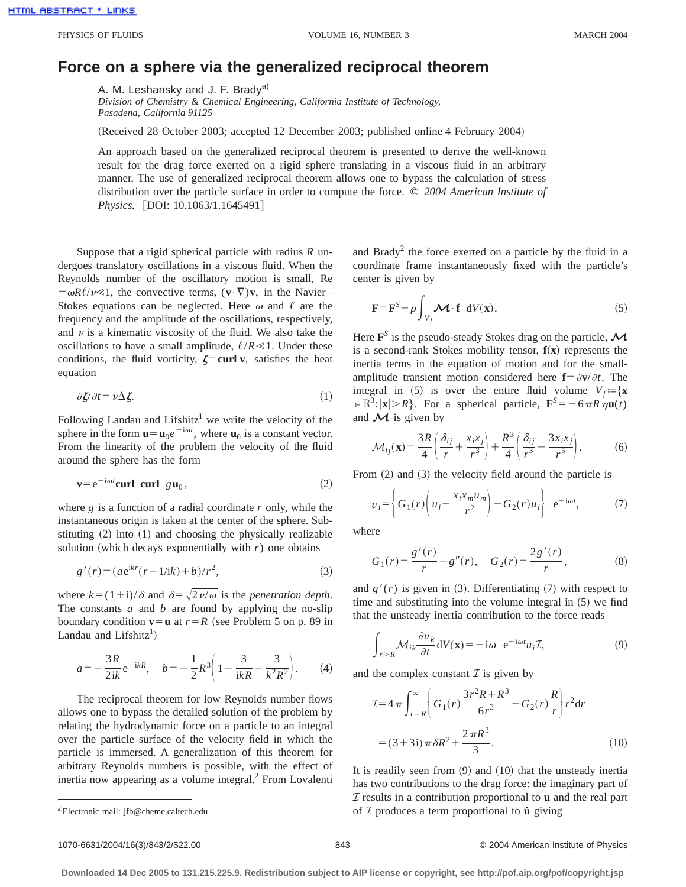## **Force on a sphere via the generalized reciprocal theorem**

A. M. Leshansky and J. F. Brady<sup>a)</sup>

*Division of Chemistry & Chemical Engineering, California Institute of Technology, Pasadena, California 91125*

(Received 28 October 2003; accepted 12 December 2003; published online 4 February 2004)

An approach based on the generalized reciprocal theorem is presented to derive the well-known result for the drag force exerted on a rigid sphere translating in a viscous fluid in an arbitrary manner. The use of generalized reciprocal theorem allows one to bypass the calculation of stress distribution over the particle surface in order to compute the force. © *2004 American Institute of Physics.* [DOI: 10.1063/1.1645491]

Suppose that a rigid spherical particle with radius *R* undergoes translatory oscillations in a viscous fluid. When the Reynolds number of the oscillatory motion is small, Re  $= \omega R \ell / \nu \ll 1$ , the convective terms,  $(\mathbf{v} \cdot \nabla) \mathbf{v}$ , in the Navier– Stokes equations can be neglected. Here  $\omega$  and  $\ell$  are the frequency and the amplitude of the oscillations, respectively, and  $\nu$  is a kinematic viscosity of the fluid. We also take the oscillations to have a small amplitude,  $\ell/R \ll 1$ . Under these conditions, the fluid vorticity,  $\zeta$ = curl v, satisfies the heat equation

$$
\partial \mathcal{L} / \partial t = \nu \Delta \mathcal{L}.
$$
 (1)

Following Landau and Lifshitz<sup>1</sup> we write the velocity of the sphere in the form  $\mathbf{u} = \mathbf{u}_0 e^{-i\omega t}$ , where  $\mathbf{u}_0$  is a constant vector. From the linearity of the problem the velocity of the fluid around the sphere has the form

$$
\mathbf{v} = e^{-i\omega t} \mathbf{curl} \quad \mathbf{curl} \quad g \mathbf{u}_0, \tag{2}
$$

where *g* is a function of a radial coordinate *r* only, while the instantaneous origin is taken at the center of the sphere. Substituting  $(2)$  into  $(1)$  and choosing the physically realizable solution (which decays exponentially with  $r$ ) one obtains

$$
g'(r) = (ae^{ikr}(r - 1/ik) + b)/r^2,
$$
 (3)

where  $k=(1+i)/\delta$  and  $\delta=\sqrt{2\nu/\omega}$  is the *penetration depth*. The constants *a* and *b* are found by applying the no-slip boundary condition  $\mathbf{v} = \mathbf{u}$  at  $r = R$  (see Problem 5 on p. 89 in Landau and Lifshitz<sup>1</sup>)

$$
a = -\frac{3R}{2ik}e^{-ikR}, \quad b = -\frac{1}{2}R^3\left(1 - \frac{3}{ikR} - \frac{3}{k^2R^2}\right).
$$
 (4)

The reciprocal theorem for low Reynolds number flows allows one to bypass the detailed solution of the problem by relating the hydrodynamic force on a particle to an integral over the particle surface of the velocity field in which the particle is immersed. A generalization of this theorem for arbitrary Reynolds numbers is possible, with the effect of inertia now appearing as a volume integral. $<sup>2</sup>$  From Lovalenti</sup> and Brady<sup>2</sup> the force exerted on a particle by the fluid in a coordinate frame instantaneously fixed with the particle's center is given by

$$
\mathbf{F} = \mathbf{F}^{S} - \rho \int_{V_f} \mathbf{M} \cdot \mathbf{f} \ dV(\mathbf{x}).
$$
 (5)

Here **<sup>F</sup>***<sup>S</sup>* is the pseudo-steady Stokes drag on the particle,*<sup>M</sup>* is a second-rank Stokes mobility tensor,  $f(x)$  represents the inertia terms in the equation of motion and for the smallamplitude transient motion considered here  $f = \frac{\partial v}{\partial t}$ . The integral in (5) is over the entire fluid volume  $V_f := \{x \}$  $\in \mathbb{R}^3$ :  $|\mathbf{x}| > R$ . For a spherical particle,  $\mathbf{F}^S = -6\pi R \eta \mathbf{u}(t)$ and  $\mathcal M$  is given by

$$
\mathcal{M}_{ij}(\mathbf{x}) = \frac{3R}{4} \left( \frac{\delta_{ij}}{r} + \frac{x_i x_j}{r^3} \right) + \frac{R^3}{4} \left( \frac{\delta_{ij}}{r^3} - \frac{3x_i x_j}{r^5} \right). \tag{6}
$$

From  $(2)$  and  $(3)$  the velocity field around the particle is

$$
v_i = \left\{ G_1(r) \left( u_i - \frac{x_i x_m u_m}{r^2} \right) - G_2(r) u_i \right\} e^{-i\omega t}, \tag{7}
$$

where

$$
G_1(r) = \frac{g'(r)}{r} - g''(r), \quad G_2(r) = \frac{2g'(r)}{r},
$$
 (8)

and  $g'(r)$  is given in (3). Differentiating (7) with respect to time and substituting into the volume integral in  $(5)$  we find that the unsteady inertia contribution to the force reads

$$
\int_{r>R} \mathcal{M}_{ik} \frac{\partial v_k}{\partial t} dV(\mathbf{x}) = -i\omega \ e^{-i\omega t} u_i \mathcal{I},\tag{9}
$$

and the complex constant  $\mathcal I$  is given by

$$
\mathcal{I} = 4 \pi \int_{r=R}^{\infty} \left\{ G_1(r) \frac{3r^2 R + R^3}{6r^3} - G_2(r) \frac{R}{r} \right\} r^2 dr
$$

$$
= (3+3i) \pi \delta R^2 + \frac{2 \pi R^3}{3}.
$$
(10)

It is readily seen from  $(9)$  and  $(10)$  that the unsteady inertia has two contributions to the drag force: the imaginary part of I results in a contribution proportional to **u** and the real part of  $I$  produces a term proportional to  $\dot{u}$  giving

## 1070-6631/2004/16(3)/843/2/\$22.00 © 2004 American Institute of Physics 843

**Downloaded 14 Dec 2005 to 131.215.225.9. Redistribution subject to AIP license or copyright, see http://pof.aip.org/pof/copyright.jsp**

Electronic mail: jfb@cheme.caltech.edu